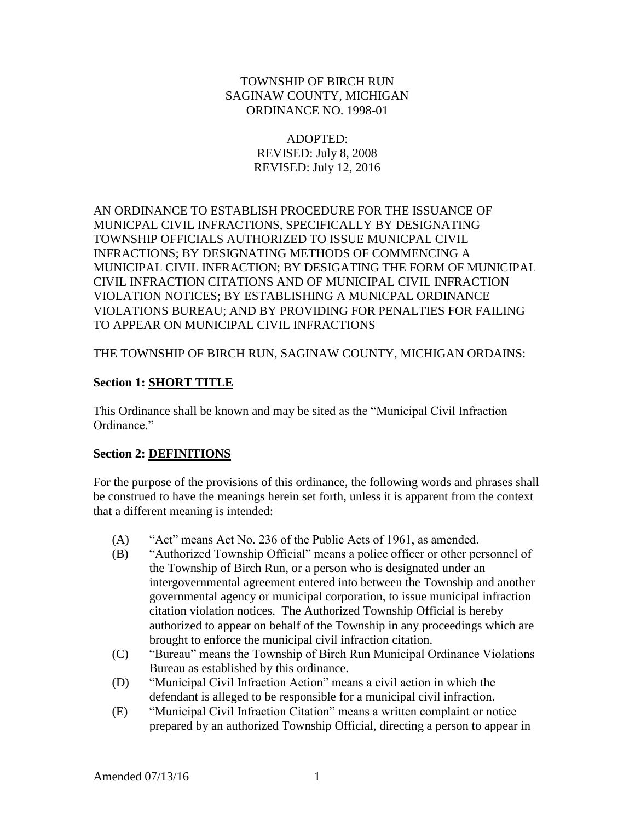### TOWNSHIP OF BIRCH RUN SAGINAW COUNTY, MICHIGAN ORDINANCE NO. 1998-01

# ADOPTED: REVISED: July 8, 2008 REVISED: July 12, 2016

AN ORDINANCE TO ESTABLISH PROCEDURE FOR THE ISSUANCE OF MUNICPAL CIVIL INFRACTIONS, SPECIFICALLY BY DESIGNATING TOWNSHIP OFFICIALS AUTHORIZED TO ISSUE MUNICPAL CIVIL INFRACTIONS; BY DESIGNATING METHODS OF COMMENCING A MUNICIPAL CIVIL INFRACTION; BY DESIGATING THE FORM OF MUNICIPAL CIVIL INFRACTION CITATIONS AND OF MUNICIPAL CIVIL INFRACTION VIOLATION NOTICES; BY ESTABLISHING A MUNICPAL ORDINANCE VIOLATIONS BUREAU; AND BY PROVIDING FOR PENALTIES FOR FAILING TO APPEAR ON MUNICIPAL CIVIL INFRACTIONS

THE TOWNSHIP OF BIRCH RUN, SAGINAW COUNTY, MICHIGAN ORDAINS:

# **Section 1: SHORT TITLE**

This Ordinance shall be known and may be sited as the "Municipal Civil Infraction Ordinance"

# **Section 2: DEFINITIONS**

For the purpose of the provisions of this ordinance, the following words and phrases shall be construed to have the meanings herein set forth, unless it is apparent from the context that a different meaning is intended:

- (A) "Act" means Act No. 236 of the Public Acts of 1961, as amended.
- (B) "Authorized Township Official" means a police officer or other personnel of the Township of Birch Run, or a person who is designated under an intergovernmental agreement entered into between the Township and another governmental agency or municipal corporation, to issue municipal infraction citation violation notices. The Authorized Township Official is hereby authorized to appear on behalf of the Township in any proceedings which are brought to enforce the municipal civil infraction citation.
- (C) "Bureau" means the Township of Birch Run Municipal Ordinance Violations Bureau as established by this ordinance.
- (D) "Municipal Civil Infraction Action" means a civil action in which the defendant is alleged to be responsible for a municipal civil infraction.
- (E) "Municipal Civil Infraction Citation" means a written complaint or notice prepared by an authorized Township Official, directing a person to appear in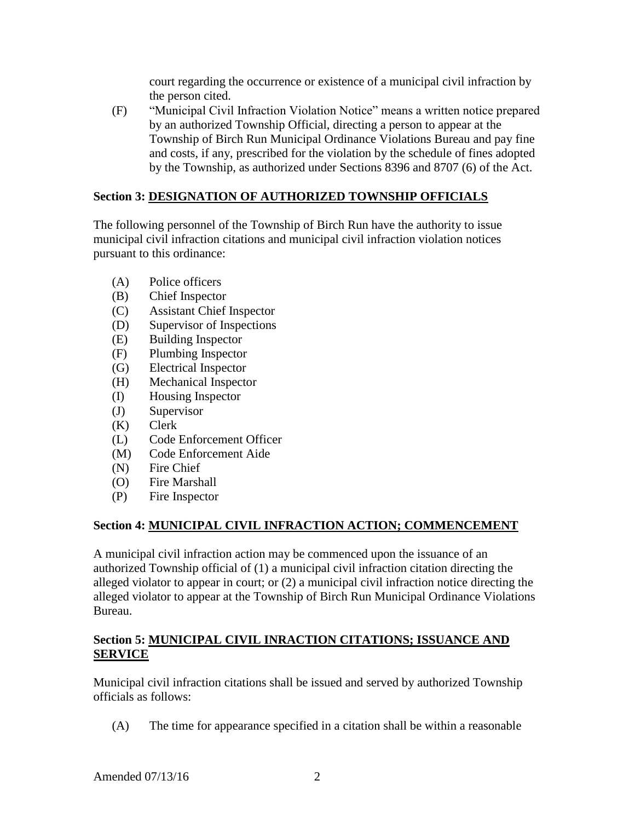court regarding the occurrence or existence of a municipal civil infraction by the person cited.

(F) "Municipal Civil Infraction Violation Notice" means a written notice prepared by an authorized Township Official, directing a person to appear at the Township of Birch Run Municipal Ordinance Violations Bureau and pay fine and costs, if any, prescribed for the violation by the schedule of fines adopted by the Township, as authorized under Sections 8396 and 8707 (6) of the Act.

# **Section 3: DESIGNATION OF AUTHORIZED TOWNSHIP OFFICIALS**

The following personnel of the Township of Birch Run have the authority to issue municipal civil infraction citations and municipal civil infraction violation notices pursuant to this ordinance:

- (A) Police officers
- (B) Chief Inspector
- (C) Assistant Chief Inspector
- (D) Supervisor of Inspections
- (E) Building Inspector
- (F) Plumbing Inspector
- (G) Electrical Inspector
- (H) Mechanical Inspector
- (I) Housing Inspector
- (J) Supervisor
- (K) Clerk
- (L) Code Enforcement Officer
- (M) Code Enforcement Aide
- (N) Fire Chief
- (O) Fire Marshall
- (P) Fire Inspector

# **Section 4: MUNICIPAL CIVIL INFRACTION ACTION; COMMENCEMENT**

A municipal civil infraction action may be commenced upon the issuance of an authorized Township official of (1) a municipal civil infraction citation directing the alleged violator to appear in court; or (2) a municipal civil infraction notice directing the alleged violator to appear at the Township of Birch Run Municipal Ordinance Violations Bureau.

# **Section 5: MUNICIPAL CIVIL INRACTION CITATIONS; ISSUANCE AND SERVICE**

Municipal civil infraction citations shall be issued and served by authorized Township officials as follows:

(A) The time for appearance specified in a citation shall be within a reasonable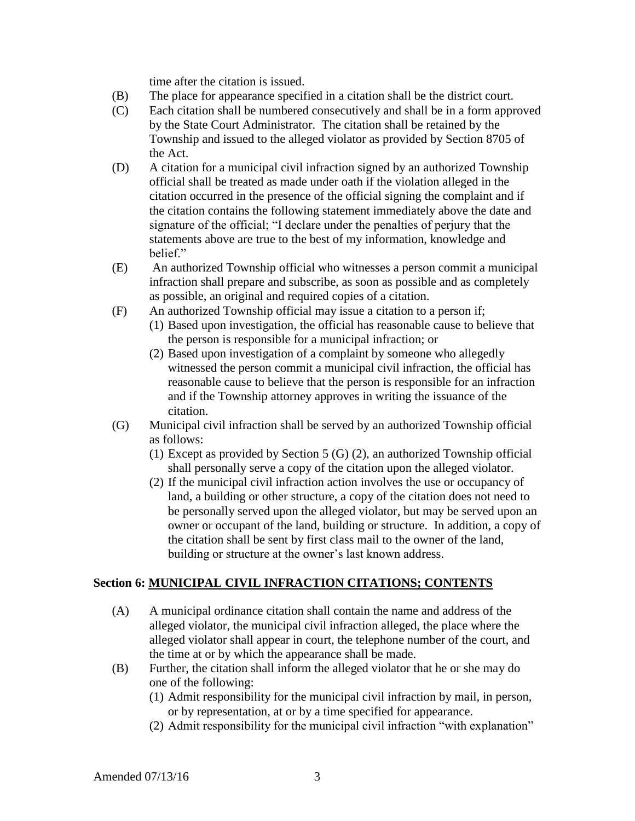time after the citation is issued.

- (B) The place for appearance specified in a citation shall be the district court.
- (C) Each citation shall be numbered consecutively and shall be in a form approved by the State Court Administrator. The citation shall be retained by the Township and issued to the alleged violator as provided by Section 8705 of the Act.
- (D) A citation for a municipal civil infraction signed by an authorized Township official shall be treated as made under oath if the violation alleged in the citation occurred in the presence of the official signing the complaint and if the citation contains the following statement immediately above the date and signature of the official; "I declare under the penalties of perjury that the statements above are true to the best of my information, knowledge and helief"
- (E) An authorized Township official who witnesses a person commit a municipal infraction shall prepare and subscribe, as soon as possible and as completely as possible, an original and required copies of a citation.
- (F) An authorized Township official may issue a citation to a person if;
	- (1) Based upon investigation, the official has reasonable cause to believe that the person is responsible for a municipal infraction; or
	- (2) Based upon investigation of a complaint by someone who allegedly witnessed the person commit a municipal civil infraction, the official has reasonable cause to believe that the person is responsible for an infraction and if the Township attorney approves in writing the issuance of the citation.
- (G) Municipal civil infraction shall be served by an authorized Township official as follows:
	- (1) Except as provided by Section 5 (G) (2), an authorized Township official shall personally serve a copy of the citation upon the alleged violator.
	- (2) If the municipal civil infraction action involves the use or occupancy of land, a building or other structure, a copy of the citation does not need to be personally served upon the alleged violator, but may be served upon an owner or occupant of the land, building or structure. In addition, a copy of the citation shall be sent by first class mail to the owner of the land, building or structure at the owner's last known address.

# **Section 6: MUNICIPAL CIVIL INFRACTION CITATIONS; CONTENTS**

- (A) A municipal ordinance citation shall contain the name and address of the alleged violator, the municipal civil infraction alleged, the place where the alleged violator shall appear in court, the telephone number of the court, and the time at or by which the appearance shall be made.
- (B) Further, the citation shall inform the alleged violator that he or she may do one of the following:
	- (1) Admit responsibility for the municipal civil infraction by mail, in person, or by representation, at or by a time specified for appearance.
	- (2) Admit responsibility for the municipal civil infraction "with explanation"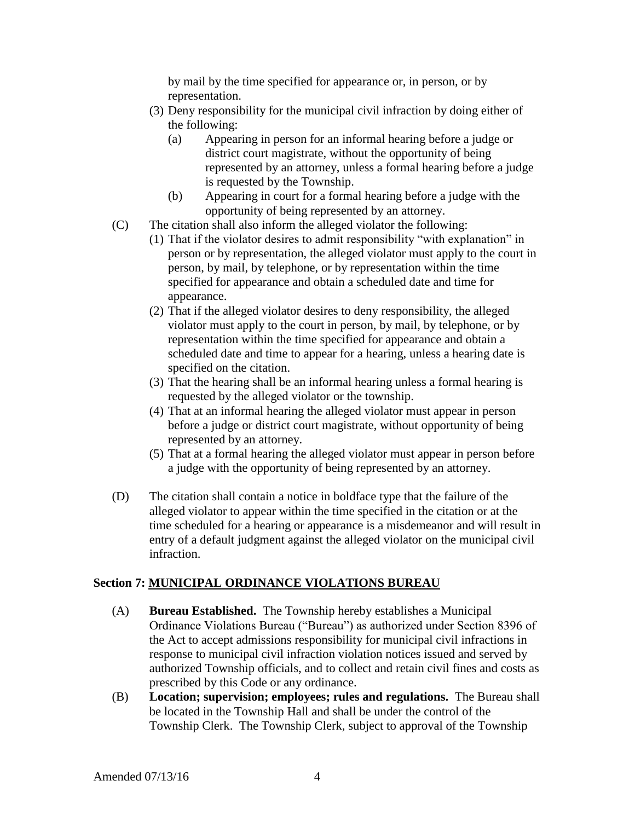by mail by the time specified for appearance or, in person, or by representation.

- (3) Deny responsibility for the municipal civil infraction by doing either of the following:
	- (a) Appearing in person for an informal hearing before a judge or district court magistrate, without the opportunity of being represented by an attorney, unless a formal hearing before a judge is requested by the Township.
	- (b) Appearing in court for a formal hearing before a judge with the opportunity of being represented by an attorney.
- (C) The citation shall also inform the alleged violator the following:
	- (1) That if the violator desires to admit responsibility "with explanation" in person or by representation, the alleged violator must apply to the court in person, by mail, by telephone, or by representation within the time specified for appearance and obtain a scheduled date and time for appearance.
	- (2) That if the alleged violator desires to deny responsibility, the alleged violator must apply to the court in person, by mail, by telephone, or by representation within the time specified for appearance and obtain a scheduled date and time to appear for a hearing, unless a hearing date is specified on the citation.
	- (3) That the hearing shall be an informal hearing unless a formal hearing is requested by the alleged violator or the township.
	- (4) That at an informal hearing the alleged violator must appear in person before a judge or district court magistrate, without opportunity of being represented by an attorney.
	- (5) That at a formal hearing the alleged violator must appear in person before a judge with the opportunity of being represented by an attorney.
- (D) The citation shall contain a notice in boldface type that the failure of the alleged violator to appear within the time specified in the citation or at the time scheduled for a hearing or appearance is a misdemeanor and will result in entry of a default judgment against the alleged violator on the municipal civil infraction.

# **Section 7: MUNICIPAL ORDINANCE VIOLATIONS BUREAU**

- (A) **Bureau Established.** The Township hereby establishes a Municipal Ordinance Violations Bureau ("Bureau") as authorized under Section 8396 of the Act to accept admissions responsibility for municipal civil infractions in response to municipal civil infraction violation notices issued and served by authorized Township officials, and to collect and retain civil fines and costs as prescribed by this Code or any ordinance.
- (B) **Location; supervision; employees; rules and regulations.** The Bureau shall be located in the Township Hall and shall be under the control of the Township Clerk. The Township Clerk, subject to approval of the Township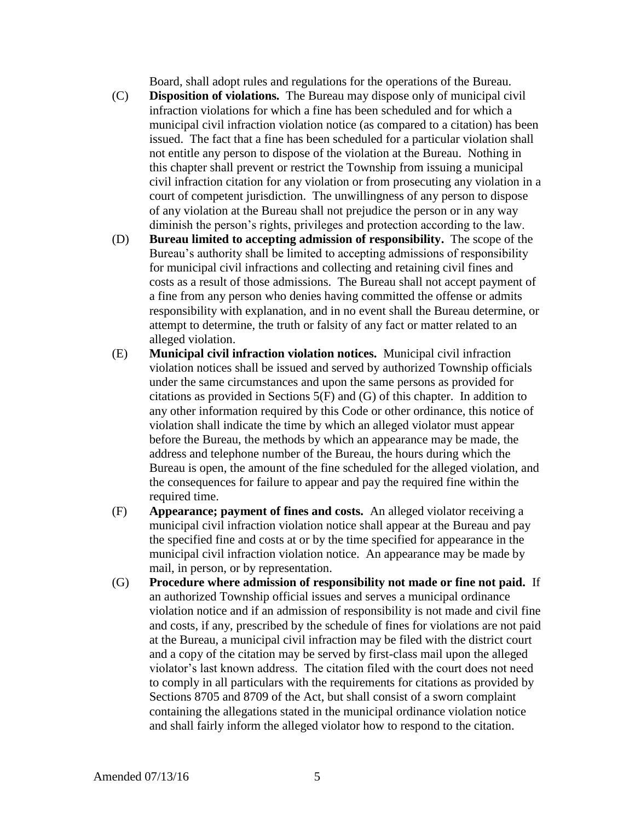Board, shall adopt rules and regulations for the operations of the Bureau.

- (C) **Disposition of violations.** The Bureau may dispose only of municipal civil infraction violations for which a fine has been scheduled and for which a municipal civil infraction violation notice (as compared to a citation) has been issued. The fact that a fine has been scheduled for a particular violation shall not entitle any person to dispose of the violation at the Bureau. Nothing in this chapter shall prevent or restrict the Township from issuing a municipal civil infraction citation for any violation or from prosecuting any violation in a court of competent jurisdiction. The unwillingness of any person to dispose of any violation at the Bureau shall not prejudice the person or in any way diminish the person's rights, privileges and protection according to the law.
- (D) **Bureau limited to accepting admission of responsibility.** The scope of the Bureau's authority shall be limited to accepting admissions of responsibility for municipal civil infractions and collecting and retaining civil fines and costs as a result of those admissions. The Bureau shall not accept payment of a fine from any person who denies having committed the offense or admits responsibility with explanation, and in no event shall the Bureau determine, or attempt to determine, the truth or falsity of any fact or matter related to an alleged violation.
- (E) **Municipal civil infraction violation notices.** Municipal civil infraction violation notices shall be issued and served by authorized Township officials under the same circumstances and upon the same persons as provided for citations as provided in Sections 5(F) and (G) of this chapter. In addition to any other information required by this Code or other ordinance, this notice of violation shall indicate the time by which an alleged violator must appear before the Bureau, the methods by which an appearance may be made, the address and telephone number of the Bureau, the hours during which the Bureau is open, the amount of the fine scheduled for the alleged violation, and the consequences for failure to appear and pay the required fine within the required time.
- (F) **Appearance; payment of fines and costs.** An alleged violator receiving a municipal civil infraction violation notice shall appear at the Bureau and pay the specified fine and costs at or by the time specified for appearance in the municipal civil infraction violation notice. An appearance may be made by mail, in person, or by representation.
- (G) **Procedure where admission of responsibility not made or fine not paid.** If an authorized Township official issues and serves a municipal ordinance violation notice and if an admission of responsibility is not made and civil fine and costs, if any, prescribed by the schedule of fines for violations are not paid at the Bureau, a municipal civil infraction may be filed with the district court and a copy of the citation may be served by first-class mail upon the alleged violator's last known address. The citation filed with the court does not need to comply in all particulars with the requirements for citations as provided by Sections 8705 and 8709 of the Act, but shall consist of a sworn complaint containing the allegations stated in the municipal ordinance violation notice and shall fairly inform the alleged violator how to respond to the citation.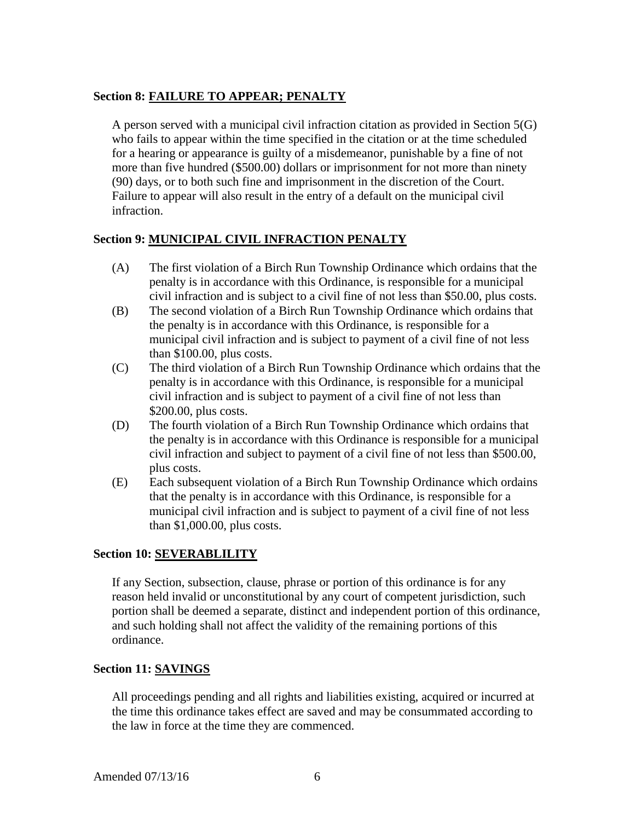# **Section 8: FAILURE TO APPEAR; PENALTY**

A person served with a municipal civil infraction citation as provided in Section 5(G) who fails to appear within the time specified in the citation or at the time scheduled for a hearing or appearance is guilty of a misdemeanor, punishable by a fine of not more than five hundred (\$500.00) dollars or imprisonment for not more than ninety (90) days, or to both such fine and imprisonment in the discretion of the Court. Failure to appear will also result in the entry of a default on the municipal civil infraction.

# **Section 9: MUNICIPAL CIVIL INFRACTION PENALTY**

- (A) The first violation of a Birch Run Township Ordinance which ordains that the penalty is in accordance with this Ordinance, is responsible for a municipal civil infraction and is subject to a civil fine of not less than \$50.00, plus costs.
- (B) The second violation of a Birch Run Township Ordinance which ordains that the penalty is in accordance with this Ordinance, is responsible for a municipal civil infraction and is subject to payment of a civil fine of not less than \$100.00, plus costs.
- (C) The third violation of a Birch Run Township Ordinance which ordains that the penalty is in accordance with this Ordinance, is responsible for a municipal civil infraction and is subject to payment of a civil fine of not less than \$200.00, plus costs.
- (D) The fourth violation of a Birch Run Township Ordinance which ordains that the penalty is in accordance with this Ordinance is responsible for a municipal civil infraction and subject to payment of a civil fine of not less than \$500.00, plus costs.
- (E) Each subsequent violation of a Birch Run Township Ordinance which ordains that the penalty is in accordance with this Ordinance, is responsible for a municipal civil infraction and is subject to payment of a civil fine of not less than \$1,000.00, plus costs.

# **Section 10: SEVERABLILITY**

If any Section, subsection, clause, phrase or portion of this ordinance is for any reason held invalid or unconstitutional by any court of competent jurisdiction, such portion shall be deemed a separate, distinct and independent portion of this ordinance, and such holding shall not affect the validity of the remaining portions of this ordinance.

### **Section 11: SAVINGS**

All proceedings pending and all rights and liabilities existing, acquired or incurred at the time this ordinance takes effect are saved and may be consummated according to the law in force at the time they are commenced.